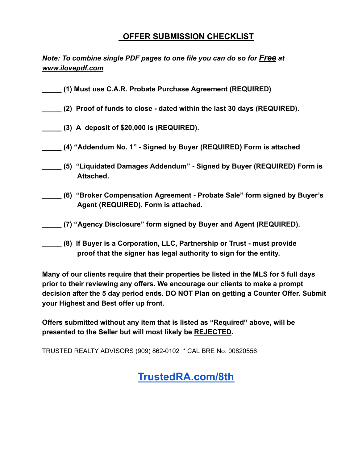## **OFFER SUBMISSION CHECKLIST**

*Note: To combine single PDF pages to one file you can do so for Free at [www.ilovepdf.com](http://www.ilovepdf.com/)* 

- **\_\_\_\_\_ (1) Must use C.A.R. Probate Purchase Agreement (REQUIRED)**
- **\_\_\_\_\_ (2) Proof of funds to close dated within the last 30 days (REQUIRED).**
- **\_\_\_\_\_ (3) A deposit of \$20,000 is (REQUIRED).**
- **\_\_\_\_\_ (4) "Addendum No. 1" Signed by Buyer (REQUIRED) Form is attached**
- **\_\_\_\_\_ (5) "Liquidated Damages Addendum" Signed by Buyer (REQUIRED) Form is Attached.**
- **\_\_\_\_\_ (6) "Broker Compensation Agreement Probate Sale" form signed by Buyer's Agent (REQUIRED). Form is attached.**
- **\_\_\_\_\_ (7) "Agency Disclosure" form signed by Buyer and Agent (REQUIRED).**
- **\_\_\_\_\_ (8) If Buyer is a Corporation, LLC, Partnership or Trust must provide proof that the signer has legal authority to sign for the entity.**

**Many of our clients require that their properties be listed in the MLS for 5 full days prior to their reviewing any offers. We encourage our clients to make a prompt decision after the 5 day period ends. DO NOT Plan on getting a Counter Offer. Submit your Highest and Best offer up front.** 

**Offers submitted without any item that is listed as "Required" above, will be presented to the Seller but will most likely be REJECTED .** 

TRUSTED REALTY ADVISORS (909) 862-0102 \* CAL BRE No. 00820556

**[TrustedRA.com/8th](http://trustedra.com/8th)**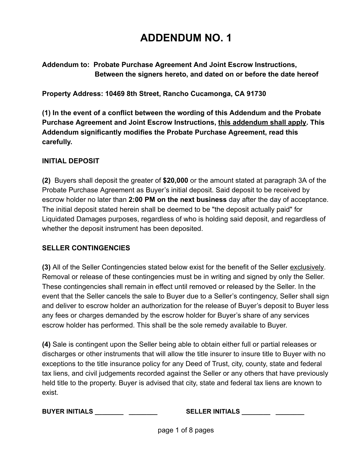# **ADDENDUM NO. 1**

**Addendum to: Probate Purchase Agreement And Joint Escrow Instructions, Between the signers hereto, and dated on or before the date hereof** 

**Property Address: 10469 8th Street, Rancho Cucamonga, CA 91730** 

**(1) In the event of a conflict between the wording of this Addendum and the Probate Purchase Agreement and Joint Escrow Instructions, this addendum shall apply . This Addendum significantly modifies the Probate Purchase Agreement, read this carefully.** 

### **INITIAL DEPOSIT**

**(2)** Buyers shall deposit the greater of **\$20,000** or the amount stated at paragraph 3A of the Probate Purchase Agreement as Buyer's initial deposit. Said deposit to be received by escrow holder no later than **2:00 PM on the next business** day after the day of acceptance. The initial deposit stated herein shall be deemed to be "the deposit actually paid" for Liquidated Damages purposes, regardless of who is holding said deposit, and regardless of whether the deposit instrument has been deposited.

### **SELLER CONTINGENCIES**

**(3)** All of the Seller Contingencies stated below exist for the benefit of the Seller exclusively . Removal or release of these contingencies must be in writing and signed by only the Seller. These contingencies shall remain in effect until removed or released by the Seller. In the event that the Seller cancels the sale to Buyer due to a Seller's contingency, Seller shall sign and deliver to escrow holder an authorization for the release of Buyer's deposit to Buyer less any fees or charges demanded by the escrow holder for Buyer's share of any services escrow holder has performed. This shall be the sole remedy available to Buyer.

**(4)** Sale is contingent upon the Seller being able to obtain either full or partial releases or discharges or other instruments that will allow the title insurer to insure title to Buyer with no exceptions to the title insurance policy for any Deed of Trust, city, county, state and federal tax liens, and civil judgements recorded against the Seller or any others that have previously held title to the property. Buyer is advised that city, state and federal tax liens are known to exist.

**BUYER INITIALS \_\_\_\_\_\_\_\_ \_\_\_\_\_\_\_\_ SELLER INITIALS \_\_\_\_\_\_\_\_ \_\_\_\_\_\_\_\_**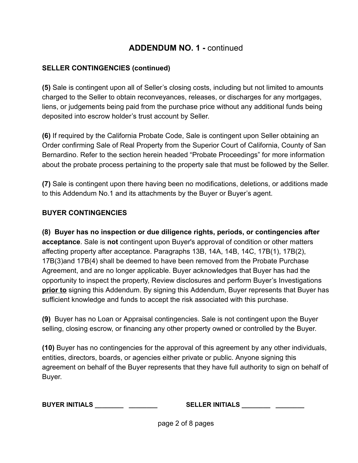### **SELLER CONTINGENCIES (continued)**

**(5)** Sale is contingent upon all of Seller's closing costs, including but not limited to amounts charged to the Seller to obtain reconveyances, releases, or discharges for any mortgages, liens, or judgements being paid from the purchase price without any additional funds being deposited into escrow holder's trust account by Seller.

**(6)** If required by the California Probate Code, Sale is contingent upon Seller obtaining an Order confirming Sale of Real Property from the Superior Court of California, County of San Bernardino. Refer to the section herein headed "Probate Proceedings" for more information about the probate process pertaining to the property sale that must be followed by the Seller.

**(7)** Sale is contingent upon there having been no modifications, deletions, or additions made to this Addendum No.1 and its attachments by the Buyer or Buyer's agent.

### **BUYER CONTINGENCIES**

**(8) Buyer has no inspection or due diligence rights, periods, or contingencies after acceptance** . Sale is **not** contingent upon Buyer's approval of condition or other matters affecting property after acceptance. Paragraphs 13B, 14A, 14B, 14C, 17B(1), 17B(2), 17B(3)and 17B(4) shall be deemed to have been removed from the Probate Purchase Agreement, and are no longer applicable. Buyer acknowledges that Buyer has had the opportunity to inspect the property, Review disclosures and perform Buyer's Investigations **prior to** signing this Addendum. By signing this Addendum, Buyer represents that Buyer has sufficient knowledge and funds to accept the risk associated with this purchase.

**(9)** Buyer has no Loan or Appraisal contingencies. Sale is not contingent upon the Buyer selling, closing escrow, or financing any other property owned or controlled by the Buyer.

**(10)** Buyer has no contingencies for the approval of this agreement by any other individuals, entities, directors, boards, or agencies either private or public. Anyone signing this agreement on behalf of the Buyer represents that they have full authority to sign on behalf of Buyer.

**BUYER INITIALS \_\_\_\_\_\_\_\_ \_\_\_\_\_\_\_\_ SELLER INITIALS \_\_\_\_\_\_\_\_ \_\_\_\_\_\_\_\_**

page 2 of 8 pages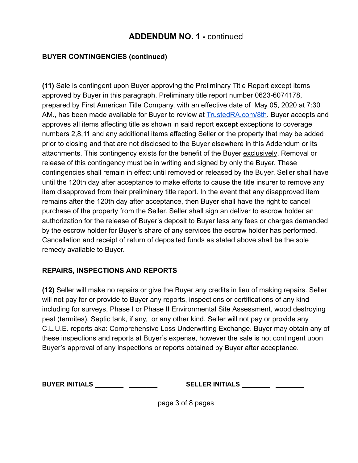### **BUYER CONTINGENCIES (continued)**

**(11)** Sale is contingent upon Buyer approving the Preliminary Title Report except items approved by Buyer in this paragraph. Preliminary title report number 0623-6074178, prepared by First American Title Company, with an effective date of May 05, 2020 at 7:30 AM., has been made available for Buyer to review at TrustedRA.com/8th. Buyer accepts and approves all items affecting title as shown in said report **except** exceptions to coverage numbers 2,8,11 and any additional items affecting Seller or the property that may be added prior to closing and that are not disclosed to the Buyer elsewhere in this Addendum or Its attachments. This contingency exists for the benefit of the Buyer exclusively . Removal or release of this contingency must be in writing and signed by only the Buyer. These contingencies shall remain in effect until removed or released by the Buyer. Seller shall have until the 120th day after acceptance to make efforts to cause the title insurer to remove any item disapproved from their preliminary title report. In the event that any disapproved item remains after the 120th day after acceptance, then Buyer shall have the right to cancel purchase of the property from the Seller. Seller shall sign an deliver to escrow holder an authorization for the release of Buyer's deposit to Buyer less any fees or charges demanded by the escrow holder for Buyer's share of any services the escrow holder has performed. Cancellation and receipt of return of deposited funds as stated above shall be the sole remedy available to Buyer.

### **REPAIRS, INSPECTIONS AND REPORTS**

**(12)** Seller will make no repairs or give the Buyer any credits in lieu of making repairs. Seller will not pay for or provide to Buyer any reports, inspections or certifications of any kind including for surveys, Phase I or Phase II Environmental Site Assessment, wood destroying pest (termites), Septic tank, if any, or any other kind. Seller will not pay or provide any C.L.U.E. reports aka: Comprehensive Loss Underwriting Exchange. Buyer may obtain any of these inspections and reports at Buyer's expense, however the sale is not contingent upon Buyer's approval of any inspections or reports obtained by Buyer after acceptance.

**BUYER INITIALS \_\_\_\_\_\_\_\_ \_\_\_\_\_\_\_\_ SELLER INITIALS \_\_\_\_\_\_\_\_ \_\_\_\_\_\_\_\_**

page 3 of 8 pages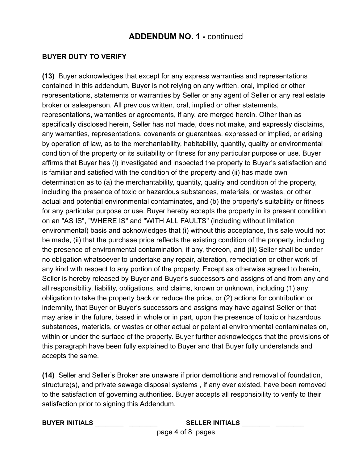### **BUYER DUTY TO VERIFY**

**(13)** Buyer acknowledges that except for any express warranties and representations contained in this addendum, Buyer is not relying on any written, oral, implied or other representations, statements or warranties by Seller or any agent of Seller or any real estate broker or salesperson. All previous written, oral, implied or other statements, representations, warranties or agreements, if any, are merged herein. Other than as specifically disclosed herein, Seller has not made, does not make, and expressly disclaims, any warranties, representations, covenants or guarantees, expressed or implied, or arising by operation of law, as to the merchantability, habitability, quantity, quality or environmental condition of the property or its suitability or fitness for any particular purpose or use. Buyer affirms that Buyer has (i) investigated and inspected the property to Buyer's satisfaction and is familiar and satisfied with the condition of the property and (ii) has made own determination as to (a) the merchantability, quantity, quality and condition of the property, including the presence of toxic or hazardous substances, materials, or wastes, or other actual and potential environmental contaminates, and (b) the property's suitability or fitness for any particular purpose or use. Buyer hereby accepts the property in its present condition on an "AS IS", "WHERE IS" and "WITH ALL FAULTS" (including without limitation environmental) basis and acknowledges that (i) without this acceptance, this sale would not be made, (ii) that the purchase price reflects the existing condition of the property, including the presence of environmental contamination, if any, thereon, and (iii) Seller shall be under no obligation whatsoever to undertake any repair, alteration, remediation or other work of any kind with respect to any portion of the property. Except as otherwise agreed to herein, Seller is hereby released by Buyer and Buyer's successors and assigns of and from any and all responsibility, liability, obligations, and claims, known or unknown, including (1) any obligation to take the property back or reduce the price, or (2) actions for contribution or indemnity, that Buyer or Buyer's successors and assigns may have against Seller or that may arise in the future, based in whole or in part, upon the presence of toxic or hazardous substances, materials, or wastes or other actual or potential environmental contaminates on, within or under the surface of the property. Buyer further acknowledges that the provisions of this paragraph have been fully explained to Buyer and that Buyer fully understands and accepts the same.

**(14)** Seller and Seller's Broker are unaware if prior demolitions and removal of foundation, structure(s), and private sewage disposal systems , if any ever existed, have been removed to the satisfaction of governing authorities. Buyer accepts all responsibility to verify to their satisfaction prior to signing this Addendum.

### **BUYER INITIALS \_\_\_\_\_\_\_\_ \_\_\_\_\_\_\_\_ SELLER INITIALS \_\_\_\_\_\_\_\_ \_\_\_\_\_\_\_\_** page 4 of 8 pages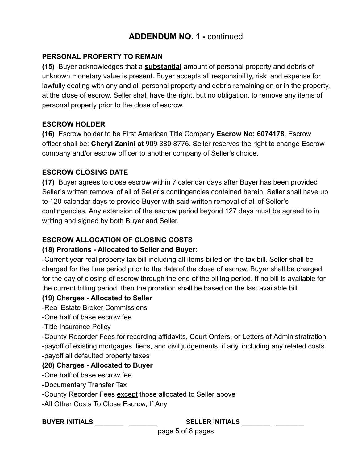### **PERSONAL PROPERTY TO REMAIN**

**(15)** Buyer acknowledges that a **substantial** amount of personal property and debris of unknown monetary value is present. Buyer accepts all responsibility, risk and expense for lawfully dealing with any and all personal property and debris remaining on or in the property, at the close of escrow. Seller shall have the right, but no obligation, to remove any items of personal property prior to the close of escrow.

### **ESCROW HOLDER**

**(16)** Escrow holder to be First American Title Company **Escrow No: 6074178** . Escrow officer shall be: **Cheryl Zanini at** 909-380-8776 . Seller reserves the right to change Escrow company and/or escrow officer to another company of Seller's choice.

### **ESCROW CLOSING DATE**

**(17)** Buyer agrees to close escrow within 7 calendar days after Buyer has been provided Seller's written removal of all of Seller's contingencies contained herein. Seller shall have up to 120 calendar days to provide Buyer with said written removal of all of Seller's contingencies. Any extension of the escrow period beyond 127 days must be agreed to in writing and signed by both Buyer and Seller.

### **ESCROW ALLOCATION OF CLOSING COSTS**

### **(18) Prorations - Allocated to Seller and Buyer:**

-Current year real property tax bill including all items billed on the tax bill. Seller shall be charged for the time period prior to the date of the close of escrow. Buyer shall be charged for the day of closing of escrow through the end of the billing period. If no bill is available for the current billing period, then the proration shall be based on the last available bill.

### **(19) Charges - Allocated to Seller**

-Real Estate Broker Commissions

-One half of base escrow fee

-Title Insurance Policy

-County Recorder Fees for recording affidavits, Court Orders, or Letters of Administratration. -payoff of existing mortgages, liens, and civil judgements, if any, including any related costs -payoff all defaulted property taxes

### **(20) Charges - Allocated to Buyer**

-One half of base escrow fee

-Documentary Transfer Tax

-County Recorder Fees except those allocated to Seller above

-All Other Costs To Close Escrow, If Any

### **BUYER INITIALS \_\_\_\_\_\_\_\_ \_\_\_\_\_\_\_\_ SELLER INITIALS \_\_\_\_\_\_\_\_ \_\_\_\_\_\_\_\_**

page 5 of 8 pages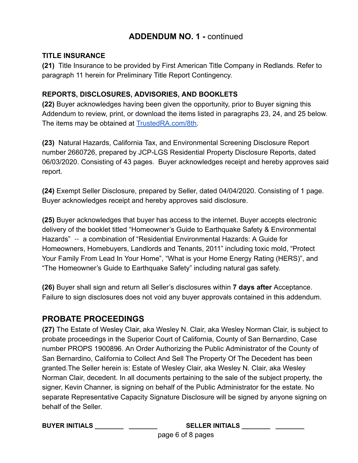### **TITLE INSURANCE**

**(21)** Title Insurance to be provided by First American Title Company in Redlands. Refer to paragraph 11 herein for Preliminary Title Report Contingency.

### **REPORTS, DISCLOSURES, ADVISORIES, AND BOOKLETS**

**(22)** Buyer acknowledges having been given the opportunity, prior to Buyer signing this Addendum to review, print, or download the items listed in paragraphs 23, 24, and 25 below. The items may be obtained at [TrustedRA.com/8th](http://trustedra.com/8th) .

**(23)** Natural Hazards, California Tax, and Environmental Screening Disclosure Report number 2660726, prepared by JCP-LGS Residential Property Disclosure Reports, dated 06/03/2020. Consisting of 43 pages. Buyer acknowledges receipt and hereby approves said report.

**(24)** Exempt Seller Disclosure, prepared by Seller, dated 04/04/2020. Consisting of 1 page. Buyer acknowledges receipt and hereby approves said disclosure.

**(25)** Buyer acknowledges that buyer has access to the internet. Buyer accepts electronic delivery of the booklet titled "Homeowner's Guide to Earthquake Safety & Environmental Hazards" -- a combination of "Residential Environmental Hazards: A Guide for Homeowners, Homebuyers, Landlords and Tenants, 2011" including toxic mold, "Protect Your Family From Lead In Your Home", "What is your Home Energy Rating (HERS)", and "The Homeowner's Guide to Earthquake Safety" including natural gas safety.

**(26)** Buyer shall sign and return all Seller's disclosures within **7 days after** Acceptance. Failure to sign disclosures does not void any buyer approvals contained in this addendum.

## **PROBATE PROCEEDINGS**

**(27)** The Estate of Wesley Clair, aka Wesley N. Clair, aka Wesley Norman Clair, is subject to probate proceedings in the Superior Court of California, County of San Bernardino, Case number PROPS 1900896. An Order Authorizing the Public Administrator of the County of San Bernardino, California to Collect And Sell The Property Of The Decedent has been granted.The Seller herein is: Estate of Wesley Clair, aka Wesley N. Clair, aka Wesley Norman Clair, decedent. In all documents pertaining to the sale of the subject property, the signer, Kevin Channer, is signing on behalf of the Public Administrator for the estate. No separate Representative Capacity Signature Disclosure will be signed by anyone signing on behalf of the Seller.

**BUYER INITIALS \_\_\_\_\_\_\_\_ \_\_\_\_\_\_\_\_ SELLER INITIALS \_\_\_\_\_\_\_\_ \_\_\_\_\_\_\_\_**

page 6 of 8 pages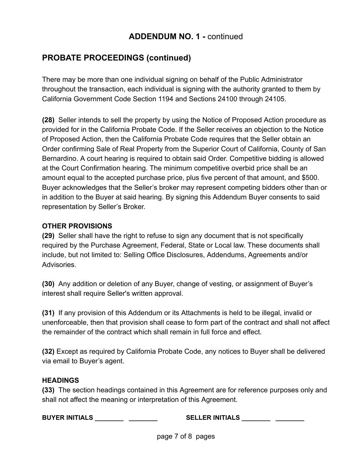## **PROBATE PROCEEDINGS (continued)**

There may be more than one individual signing on behalf of the Public Administrator throughout the transaction, each individual is signing with the authority granted to them by California Government Code Section 1194 and Sections 24100 through 24105.

**(28)** Seller intends to sell the property by using the Notice of Proposed Action procedure as provided for in the California Probate Code. If the Seller receives an objection to the Notice of Proposed Action, then the California Probate Code requires that the Seller obtain an Order confirming Sale of Real Property from the Superior Court of California, County of San Bernardino. A court hearing is required to obtain said Order. Competitive bidding is allowed at the Court Confirmation hearing. The minimum competitive overbid price shall be an amount equal to the accepted purchase price, plus five percent of that amount, and \$500. Buyer acknowledges that the Seller's broker may represent competing bidders other than or in addition to the Buyer at said hearing. By signing this Addendum Buyer consents to said representation by Seller's Broker.

### **OTHER PROVISIONS**

**(29)** Seller shall have the right to refuse to sign any document that is not specifically required by the Purchase Agreement, Federal, State or Local law. These documents shall include, but not limited to: Selling Office Disclosures, Addendums, Agreements and/or Advisories.

**(30)** Any addition or deletion of any Buyer, change of vesting, or assignment of Buyer's interest shall require Seller's written approval.

**(31)** If any provision of this Addendum or its Attachments is held to be illegal, invalid or unenforceable, then that provision shall cease to form part of the contract and shall not affect the remainder of the contract which shall remain in full force and effect.

**(32)** Except as required by California Probate Code, any notices to Buyer shall be delivered via email to Buyer's agent.

### **HEADINGS**

**(33)** The section headings contained in this Agreement are for reference purposes only and shall not affect the meaning or interpretation of this Agreement.

**BUYER INITIALS \_\_\_\_\_\_\_\_ \_\_\_\_\_\_\_\_ SELLER INITIALS \_\_\_\_\_\_\_\_ \_\_\_\_\_\_\_\_**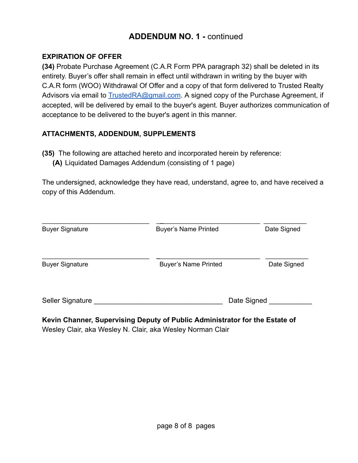### **EXPIRATION OF OFFER**

**(34)** Probate Purchase Agreement (C.A.R Form PPA paragraph 32) shall be deleted in its entirety. Buyer's offer shall remain in effect until withdrawn in writing by the buyer with C.A.R form (WOO) Withdrawal Of Offer and a copy of that form delivered to Trusted Realty Advisors via email to **TrustedRA@gmail.com.** A signed copy of the Purchase Agreement, if accepted, will be delivered by email to the buyer's agent. Buyer authorizes communication of acceptance to be delivered to the buyer's agent in this manner.

### **ATTACHMENTS, ADDENDUM, SUPPLEMENTS**

**(35)** The following are attached hereto and incorporated herein by reference:

**(A)** Liquidated Damages Addendum (consisting of 1 page)

The undersigned, acknowledge they have read, understand, agree to, and have received a copy of this Addendum.

| <b>Buyer Signature</b> | <b>Buyer's Name Printed</b> | Date Signed |
|------------------------|-----------------------------|-------------|
| <b>Buyer Signature</b> | <b>Buyer's Name Printed</b> | Date Signed |
| Seller Signature       | Date Signed                 |             |

**Kevin Channer, Supervising Deputy of Public Administrator for the Estate of**  Wesley Clair, aka Wesley N. Clair, aka Wesley Norman Clair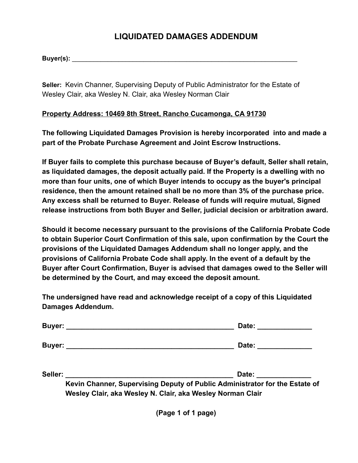## **LIQUIDATED DAMAGES ADDENDUM**

**Buyer(s):** \_\_\_\_\_\_\_\_\_\_\_\_\_\_\_\_\_\_\_\_\_\_\_\_\_\_\_\_\_\_\_\_\_\_\_\_\_\_\_\_\_\_\_\_\_\_\_\_\_\_\_\_\_\_\_\_\_\_\_\_\_\_\_

**Seller:** Kevin Channer, Supervising Deputy of Public Administrator for the Estate of Wesley Clair, aka Wesley N. Clair, aka Wesley Norman Clair

### **Property Address: 10469 8th Street, Rancho Cucamonga, CA 91730**

**The following Liquidated Damages Provision is hereby incorporated into and made a part of the Probate Purchase Agreement and Joint Escrow Instructions.** 

**If Buyer fails to complete this purchase because of Buyer's default, Seller shall retain, as liquidated damages, the deposit actually paid. If the Property is a dwelling with no more than four units, one of which Buyer intends to occupy as the buyer's principal residence, then the amount retained shall be no more than 3% of the purchase price. Any excess shall be returned to Buyer. Release of funds will require mutual, Signed release instructions from both Buyer and Seller, judicial decision or arbitration award.** 

**Should it become necessary pursuant to the provisions of the California Probate Code to obtain Superior Court Confirmation of this sale, upon confirmation by the Court the provisions of the Liquidated Damages Addendum shall no longer apply, and the provisions of California Probate Code shall apply. In the event of a default by the Buyer after Court Confirmation, Buyer is advised that damages owed to the Seller will be determined by the Court, and may exceed the deposit amount.** 

**The undersigned have read and acknowledge receipt of a copy of this Liquidated Damages Addendum.** 

|         | Date: <u>_______________</u>                                                                                                              |  |
|---------|-------------------------------------------------------------------------------------------------------------------------------------------|--|
|         | Date:                                                                                                                                     |  |
| Seller: | Date:                                                                                                                                     |  |
|         | Kevin Channer, Supervising Deputy of Public Administrator for the Estate of<br>Wesley Clair, aka Wesley N. Clair, aka Wesley Norman Clair |  |

**(Page 1 of 1 page)**